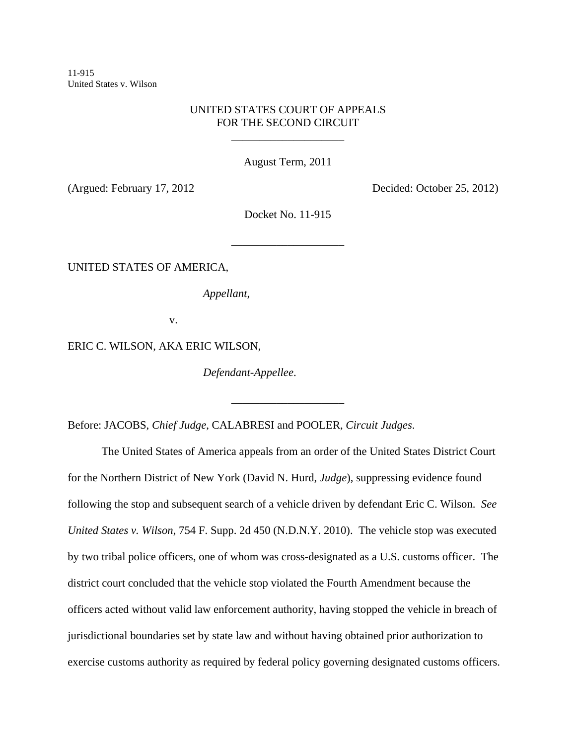11-915 United States v. Wilson

# UNITED STATES COURT OF APPEALS FOR THE SECOND CIRCUIT

\_\_\_\_\_\_\_\_\_\_\_\_\_\_\_\_\_\_\_\_

August Term, 2011

(Argued: February 17, 2012 Decided: October 25, 2012)

Docket No. 11-915

\_\_\_\_\_\_\_\_\_\_\_\_\_\_\_\_\_\_\_\_

\_\_\_\_\_\_\_\_\_\_\_\_\_\_\_\_\_\_\_\_

UNITED STATES OF AMERICA,

*Appellant*,

v.

ERIC C. WILSON, AKA ERIC WILSON,

*Defendant-Appellee*.

Before: JACOBS, *Chief Judge*, CALABRESI and POOLER, *Circuit Judges*.

The United States of America appeals from an order of the United States District Court for the Northern District of New York (David N. Hurd, *Judge*), suppressing evidence found following the stop and subsequent search of a vehicle driven by defendant Eric C. Wilson. *See United States v. Wilson*, 754 F. Supp. 2d 450 (N.D.N.Y. 2010). The vehicle stop was executed by two tribal police officers, one of whom was cross-designated as a U.S. customs officer. The district court concluded that the vehicle stop violated the Fourth Amendment because the officers acted without valid law enforcement authority, having stopped the vehicle in breach of jurisdictional boundaries set by state law and without having obtained prior authorization to exercise customs authority as required by federal policy governing designated customs officers.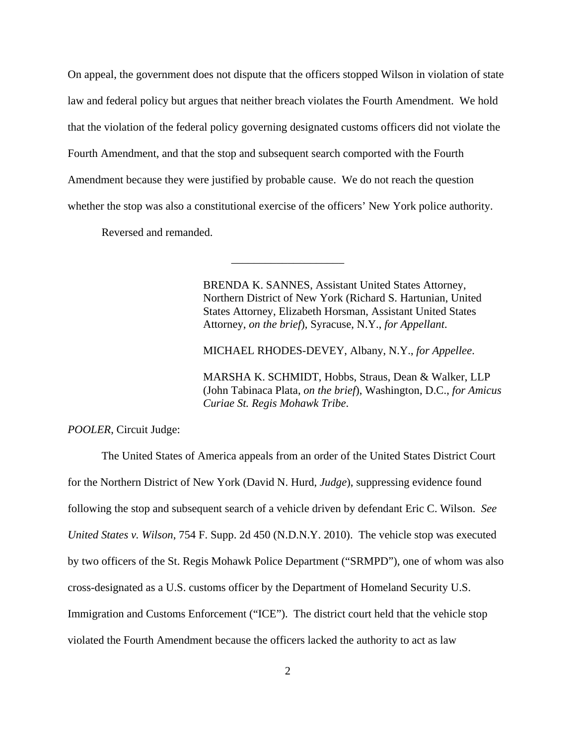On appeal, the government does not dispute that the officers stopped Wilson in violation of state law and federal policy but argues that neither breach violates the Fourth Amendment. We hold that the violation of the federal policy governing designated customs officers did not violate the Fourth Amendment, and that the stop and subsequent search comported with the Fourth Amendment because they were justified by probable cause. We do not reach the question whether the stop was also a constitutional exercise of the officers' New York police authority.

\_\_\_\_\_\_\_\_\_\_\_\_\_\_\_\_\_\_\_\_

Reversed and remanded.

BRENDA K. SANNES, Assistant United States Attorney, Northern District of New York (Richard S. Hartunian, United States Attorney, Elizabeth Horsman, Assistant United States Attorney, *on the brief*), Syracuse, N.Y., *for Appellant*.

MICHAEL RHODES-DEVEY, Albany, N.Y., *for Appellee*.

MARSHA K. SCHMIDT, Hobbs, Straus, Dean & Walker, LLP (John Tabinaca Plata, *on the brief*), Washington, D.C., *for Amicus Curiae St. Regis Mohawk Tribe*.

*POOLER*, Circuit Judge:

The United States of America appeals from an order of the United States District Court for the Northern District of New York (David N. Hurd, *Judge*), suppressing evidence found following the stop and subsequent search of a vehicle driven by defendant Eric C. Wilson. *See United States v. Wilson*, 754 F. Supp. 2d 450 (N.D.N.Y. 2010). The vehicle stop was executed by two officers of the St. Regis Mohawk Police Department ("SRMPD"), one of whom was also cross-designated as a U.S. customs officer by the Department of Homeland Security U.S. Immigration and Customs Enforcement ("ICE"). The district court held that the vehicle stop violated the Fourth Amendment because the officers lacked the authority to act as law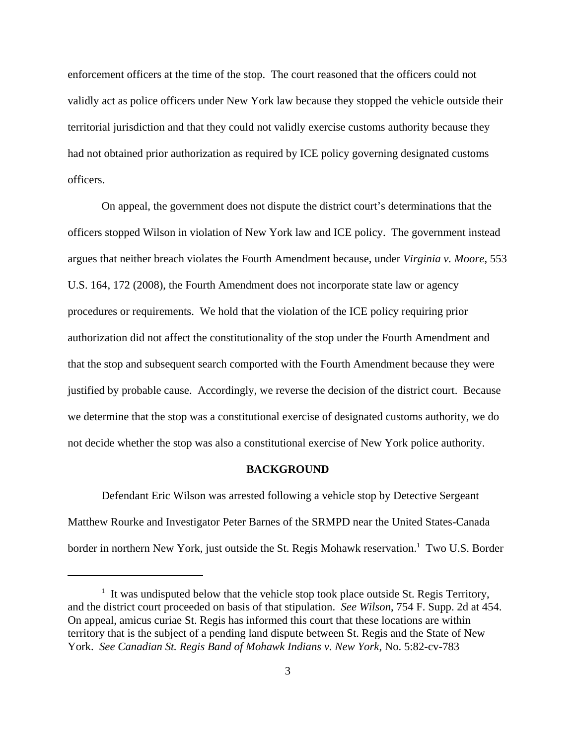enforcement officers at the time of the stop. The court reasoned that the officers could not validly act as police officers under New York law because they stopped the vehicle outside their territorial jurisdiction and that they could not validly exercise customs authority because they had not obtained prior authorization as required by ICE policy governing designated customs officers.

On appeal, the government does not dispute the district court's determinations that the officers stopped Wilson in violation of New York law and ICE policy. The government instead argues that neither breach violates the Fourth Amendment because, under *Virginia v. Moore*, 553 U.S. 164, 172 (2008), the Fourth Amendment does not incorporate state law or agency procedures or requirements. We hold that the violation of the ICE policy requiring prior authorization did not affect the constitutionality of the stop under the Fourth Amendment and that the stop and subsequent search comported with the Fourth Amendment because they were justified by probable cause. Accordingly, we reverse the decision of the district court. Because we determine that the stop was a constitutional exercise of designated customs authority, we do not decide whether the stop was also a constitutional exercise of New York police authority.

#### **BACKGROUND**

Defendant Eric Wilson was arrested following a vehicle stop by Detective Sergeant Matthew Rourke and Investigator Peter Barnes of the SRMPD near the United States-Canada border in northern New York, just outside the St. Regis Mohawk reservation.<sup>1</sup> Two U.S. Border

<sup>&</sup>lt;sup>1</sup> It was undisputed below that the vehicle stop took place outside St. Regis Territory, and the district court proceeded on basis of that stipulation. *See Wilson*, 754 F. Supp. 2d at 454. On appeal, amicus curiae St. Regis has informed this court that these locations are within territory that is the subject of a pending land dispute between St. Regis and the State of New York. *See Canadian St. Regis Band of Mohawk Indians v. New York*, No. 5:82-cv-783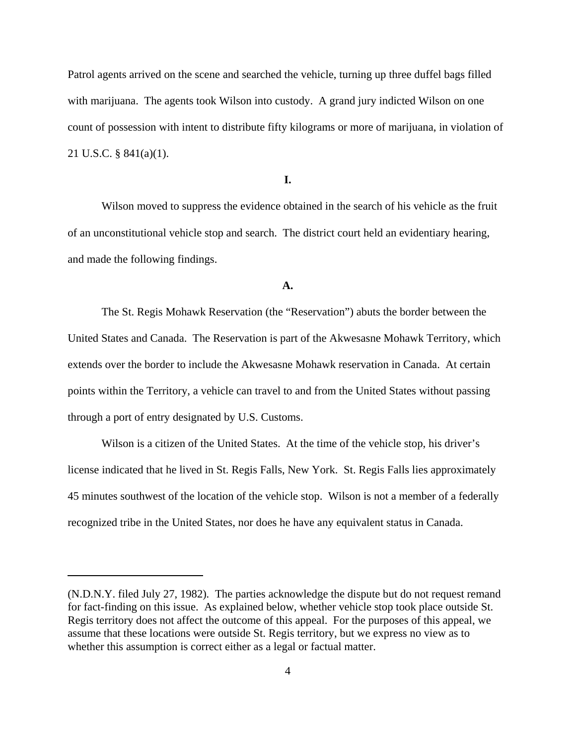Patrol agents arrived on the scene and searched the vehicle, turning up three duffel bags filled with marijuana. The agents took Wilson into custody. A grand jury indicted Wilson on one count of possession with intent to distribute fifty kilograms or more of marijuana, in violation of 21 U.S.C. § 841(a)(1).

**I.**

Wilson moved to suppress the evidence obtained in the search of his vehicle as the fruit of an unconstitutional vehicle stop and search.The district court held an evidentiary hearing, and made the following findings.

#### **A.**

The St. Regis Mohawk Reservation (the "Reservation") abuts the border between the United States and Canada. The Reservation is part of the Akwesasne Mohawk Territory, which extends over the border to include the Akwesasne Mohawk reservation in Canada. At certain points within the Territory, a vehicle can travel to and from the United States without passing through a port of entry designated by U.S. Customs.

Wilson is a citizen of the United States. At the time of the vehicle stop, his driver's license indicated that he lived in St. Regis Falls, New York. St. Regis Falls lies approximately 45 minutes southwest of the location of the vehicle stop. Wilson is not a member of a federally recognized tribe in the United States, nor does he have any equivalent status in Canada.

<sup>(</sup>N.D.N.Y. filed July 27, 1982)*.* The parties acknowledge the dispute but do not request remand for fact-finding on this issue. As explained below, whether vehicle stop took place outside St. Regis territory does not affect the outcome of this appeal. For the purposes of this appeal, we assume that these locations were outside St. Regis territory, but we express no view as to whether this assumption is correct either as a legal or factual matter.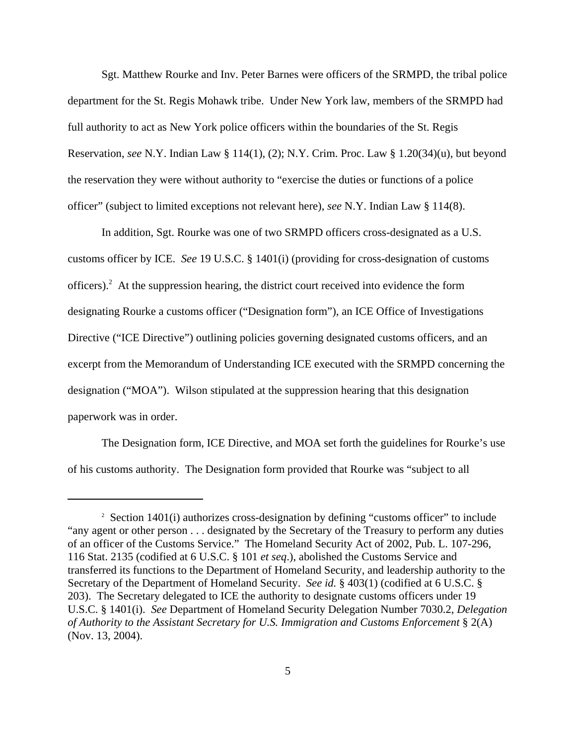Sgt. Matthew Rourke and Inv. Peter Barnes were officers of the SRMPD, the tribal police department for the St. Regis Mohawk tribe. Under New York law, members of the SRMPD had full authority to act as New York police officers within the boundaries of the St. Regis Reservation, *see* N.Y. Indian Law § 114(1), (2); N.Y. Crim. Proc. Law § 1.20(34)(u), but beyond the reservation they were without authority to "exercise the duties or functions of a police officer" (subject to limited exceptions not relevant here), *see* N.Y. Indian Law § 114(8).

In addition, Sgt. Rourke was one of two SRMPD officers cross-designated as a U.S. customs officer by ICE.*See* 19 U.S.C. § 1401(i) (providing for cross-designation of customs officers).<sup>2</sup> At the suppression hearing, the district court received into evidence the form designating Rourke a customs officer ("Designation form"), an ICE Office of Investigations Directive ("ICE Directive") outlining policies governing designated customs officers, and an excerpt from the Memorandum of Understanding ICE executed with the SRMPD concerning the designation ("MOA"). Wilson stipulated at the suppression hearing that this designation paperwork was in order.

The Designation form, ICE Directive, and MOA set forth the guidelines for Rourke's use of his customs authority. The Designation form provided that Rourke was "subject to all

<sup>&</sup>lt;sup>2</sup> Section 1401(i) authorizes cross-designation by defining "customs officer" to include "any agent or other person . . . designated by the Secretary of the Treasury to perform any duties of an officer of the Customs Service." The Homeland Security Act of 2002, Pub. L. 107-296, 116 Stat. 2135 (codified at 6 U.S.C. § 101 *et seq*.), abolished the Customs Service and transferred its functions to the Department of Homeland Security, and leadership authority to the Secretary of the Department of Homeland Security. *See id.* § 403(1) (codified at 6 U.S.C. § 203). The Secretary delegated to ICE the authority to designate customs officers under 19 U.S.C. § 1401(i). *See* Department of Homeland Security Delegation Number 7030.2, *Delegation of Authority to the Assistant Secretary for U.S. Immigration and Customs Enforcement* § 2(A) (Nov. 13, 2004).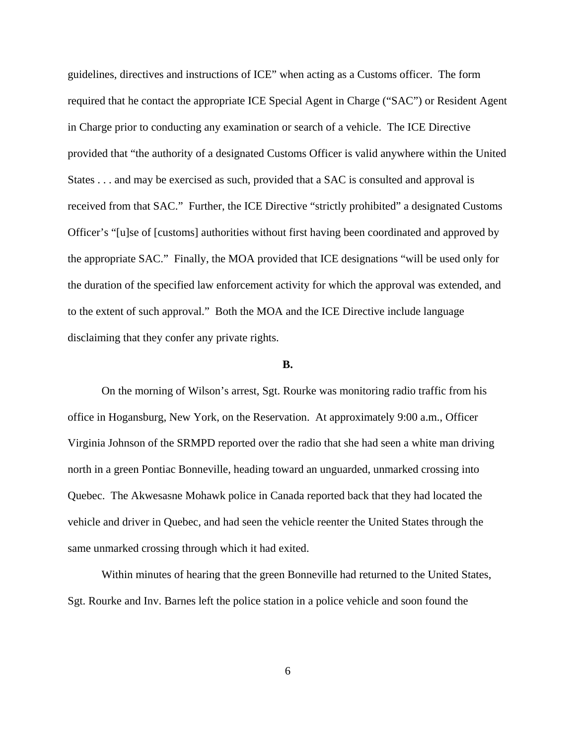guidelines, directives and instructions of ICE" when acting as a Customs officer. The form required that he contact the appropriate ICE Special Agent in Charge ("SAC") or Resident Agent in Charge prior to conducting any examination or search of a vehicle. The ICE Directive provided that "the authority of a designated Customs Officer is valid anywhere within the United States . . . and may be exercised as such, provided that a SAC is consulted and approval is received from that SAC." Further, the ICE Directive "strictly prohibited" a designated Customs Officer's "[u]se of [customs] authorities without first having been coordinated and approved by the appropriate SAC." Finally, the MOA provided that ICE designations "will be used only for the duration of the specified law enforcement activity for which the approval was extended, and to the extent of such approval." Both the MOA and the ICE Directive include language disclaiming that they confer any private rights.

## **B.**

On the morning of Wilson's arrest, Sgt. Rourke was monitoring radio traffic from his office in Hogansburg, New York, on the Reservation. At approximately 9:00 a.m., Officer Virginia Johnson of the SRMPD reported over the radio that she had seen a white man driving north in a green Pontiac Bonneville, heading toward an unguarded, unmarked crossing into Quebec. The Akwesasne Mohawk police in Canada reported back that they had located the vehicle and driver in Quebec, and had seen the vehicle reenter the United States through the same unmarked crossing through which it had exited.

Within minutes of hearing that the green Bonneville had returned to the United States, Sgt. Rourke and Inv. Barnes left the police station in a police vehicle and soon found the

6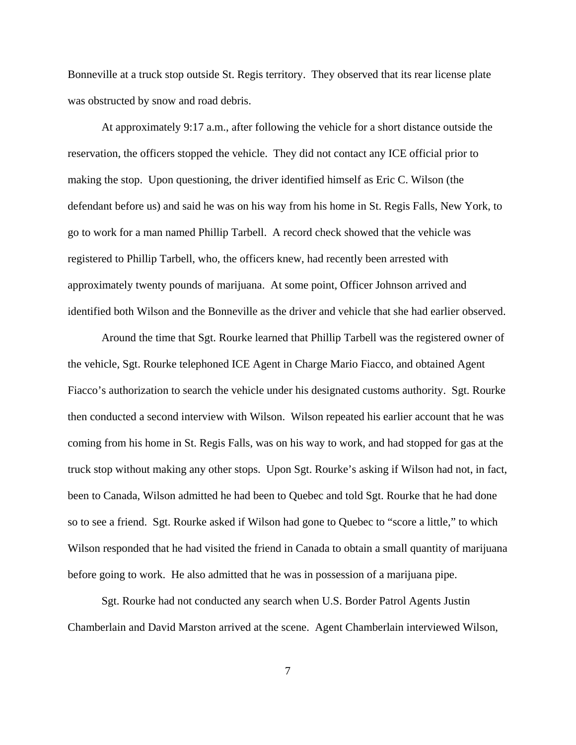Bonneville at a truck stop outside St. Regis territory. They observed that its rear license plate was obstructed by snow and road debris.

At approximately 9:17 a.m., after following the vehicle for a short distance outside the reservation, the officers stopped the vehicle. They did not contact any ICE official prior to making the stop. Upon questioning, the driver identified himself as Eric C. Wilson (the defendant before us) and said he was on his way from his home in St. Regis Falls, New York, to go to work for a man named Phillip Tarbell. A record check showed that the vehicle was registered to Phillip Tarbell, who, the officers knew, had recently been arrested with approximately twenty pounds of marijuana. At some point, Officer Johnson arrived and identified both Wilson and the Bonneville as the driver and vehicle that she had earlier observed.

Around the time that Sgt. Rourke learned that Phillip Tarbell was the registered owner of the vehicle, Sgt. Rourke telephoned ICE Agent in Charge Mario Fiacco, and obtained Agent Fiacco's authorization to search the vehicle under his designated customs authority. Sgt. Rourke then conducted a second interview with Wilson. Wilson repeated his earlier account that he was coming from his home in St. Regis Falls, was on his way to work, and had stopped for gas at the truck stop without making any other stops. Upon Sgt. Rourke's asking if Wilson had not, in fact, been to Canada, Wilson admitted he had been to Quebec and told Sgt. Rourke that he had done so to see a friend. Sgt. Rourke asked if Wilson had gone to Quebec to "score a little," to which Wilson responded that he had visited the friend in Canada to obtain a small quantity of marijuana before going to work. He also admitted that he was in possession of a marijuana pipe.

Sgt. Rourke had not conducted any search when U.S. Border Patrol Agents Justin Chamberlain and David Marston arrived at the scene.Agent Chamberlain interviewed Wilson,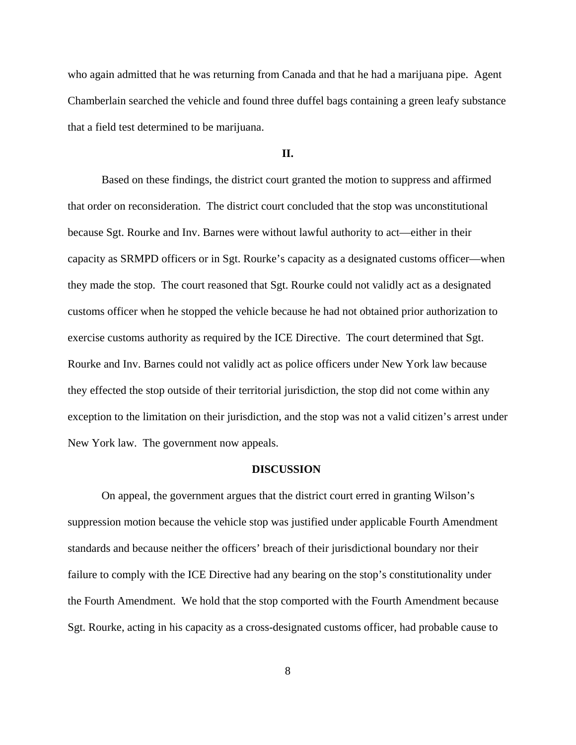who again admitted that he was returning from Canada and that he had a marijuana pipe. Agent Chamberlain searched the vehicle and found three duffel bags containing a green leafy substance that a field test determined to be marijuana.

## **II.**

Based on these findings, the district court granted the motion to suppress and affirmed that order on reconsideration. The district court concluded that the stop was unconstitutional because Sgt. Rourke and Inv. Barnes were without lawful authority to act—either in their capacity as SRMPD officers or in Sgt. Rourke's capacity as a designated customs officer—when they made the stop. The court reasoned that Sgt. Rourke could not validly act as a designated customs officer when he stopped the vehicle because he had not obtained prior authorization to exercise customs authority as required by the ICE Directive. The court determined that Sgt. Rourke and Inv. Barnes could not validly act as police officers under New York law because they effected the stop outside of their territorial jurisdiction, the stop did not come within any exception to the limitation on their jurisdiction, and the stop was not a valid citizen's arrest under New York law. The government now appeals.

#### **DISCUSSION**

On appeal, the government argues that the district court erred in granting Wilson's suppression motion because the vehicle stop was justified under applicable Fourth Amendment standards and because neither the officers' breach of their jurisdictional boundary nor their failure to comply with the ICE Directive had any bearing on the stop's constitutionality under the Fourth Amendment. We hold that the stop comported with the Fourth Amendment because Sgt. Rourke, acting in his capacity as a cross-designated customs officer, had probable cause to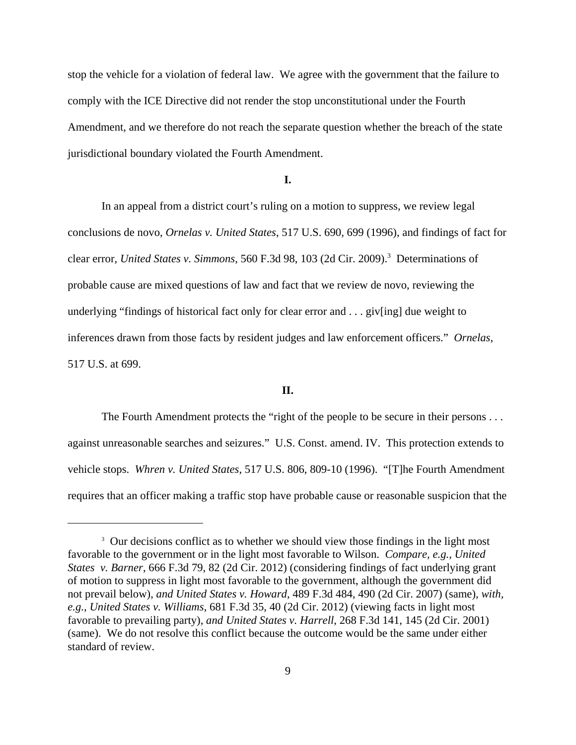stop the vehicle for a violation of federal law. We agree with the government that the failure to comply with the ICE Directive did not render the stop unconstitutional under the Fourth Amendment, and we therefore do not reach the separate question whether the breach of the state jurisdictional boundary violated the Fourth Amendment.

## **I.**

In an appeal from a district court's ruling on a motion to suppress, we review legal conclusions de novo, *Ornelas v. United States*, 517 U.S. 690, 699 (1996), and findings of fact for clear error, *United States v. Simmons*, 560 F.3d 98, 103 (2d Cir. 2009).<sup>3</sup> Determinations of probable cause are mixed questions of law and fact that we review de novo, reviewing the underlying "findings of historical fact only for clear error and . . . giv[ing] due weight to inferences drawn from those facts by resident judges and law enforcement officers." *Ornelas*, 517 U.S. at 699.

## **II.**

The Fourth Amendment protects the "right of the people to be secure in their persons . . . against unreasonable searches and seizures." U.S. Const. amend. IV. This protection extends to vehicle stops. *Whren v. United States*, 517 U.S. 806, 809-10 (1996). "[T]he Fourth Amendment requires that an officer making a traffic stop have probable cause or reasonable suspicion that the

<sup>&</sup>lt;sup>3</sup> Our decisions conflict as to whether we should view those findings in the light most favorable to the government or in the light most favorable to Wilson. *Compare, e.g.*, *United States v. Barner*, 666 F.3d 79, 82 (2d Cir. 2012) (considering findings of fact underlying grant of motion to suppress in light most favorable to the government, although the government did not prevail below), *and United States v. Howard*, 489 F.3d 484, 490 (2d Cir. 2007) (same), *with, e.g.*, *United States v. Williams*, 681 F.3d 35, 40 (2d Cir. 2012) (viewing facts in light most favorable to prevailing party), *and United States v. Harrell*, 268 F.3d 141, 145 (2d Cir. 2001) (same). We do not resolve this conflict because the outcome would be the same under either standard of review.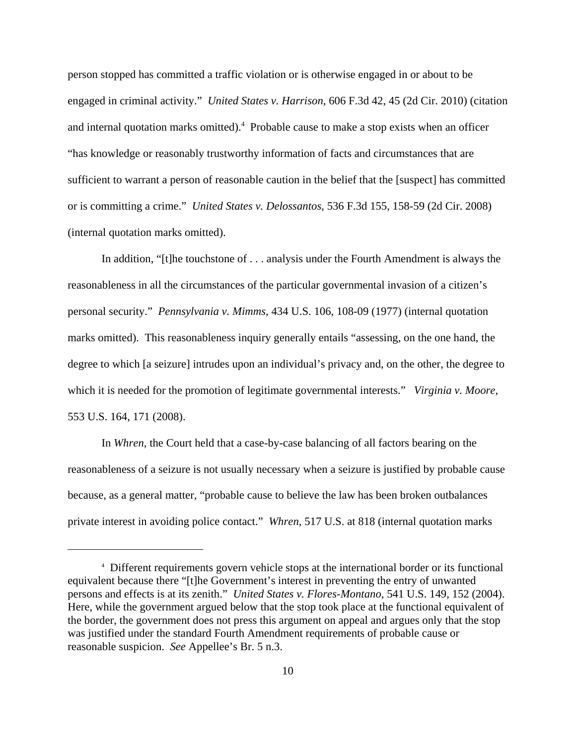person stopped has committed a traffic violation or is otherwise engaged in or about to be engaged in criminal activity." *United States v. Harrison*, 606 F.3d 42, 45 (2d Cir. 2010) (citation and internal quotation marks omitted).<sup>4</sup> Probable cause to make a stop exists when an officer "has knowledge or reasonably trustworthy information of facts and circumstances that are sufficient to warrant a person of reasonable caution in the belief that the [suspect] has committed or is committing a crime." *United States v. Delossantos*, 536 F.3d 155, 158-59 (2d Cir. 2008) (internal quotation marks omitted).

In addition, "[t]he touchstone of . . . analysis under the Fourth Amendment is always the reasonableness in all the circumstances of the particular governmental invasion of a citizen's personal security." *Pennsylvania v. Mimms*, 434 U.S. 106, 108-09 (1977) (internal quotation marks omitted). This reasonableness inquiry generally entails "assessing, on the one hand, the degree to which [a seizure] intrudes upon an individual's privacy and, on the other, the degree to which it is needed for the promotion of legitimate governmental interests." *Virginia v. Moore*, 553 U.S. 164, 171 (2008).

In *Whren*, the Court held that a case-by-case balancing of all factors bearing on the reasonableness of a seizure is not usually necessary when a seizure is justified by probable cause because, as a general matter, "probable cause to believe the law has been broken outbalances private interest in avoiding police contact." *Whren*, 517 U.S. at 818 (internal quotation marks

<sup>4</sup> Different requirements govern vehicle stops at the international border or its functional equivalent because there "[t]he Government's interest in preventing the entry of unwanted persons and effects is at its zenith." *United States v. Flores-Montano*, 541 U.S. 149, 152 (2004). Here, while the government argued below that the stop took place at the functional equivalent of the border, the government does not press this argument on appeal and argues only that the stop was justified under the standard Fourth Amendment requirements of probable cause or reasonable suspicion. *See* Appellee's Br. 5 n.3.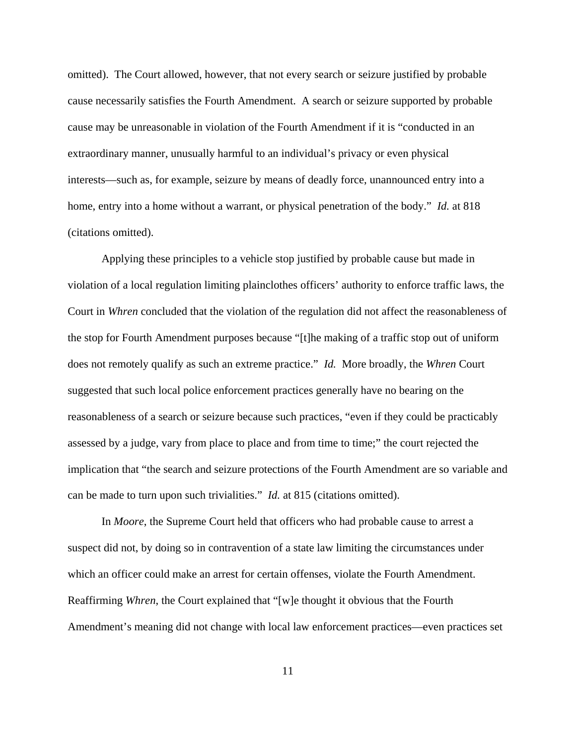omitted). The Court allowed, however, that not every search or seizure justified by probable cause necessarily satisfies the Fourth Amendment. A search or seizure supported by probable cause may be unreasonable in violation of the Fourth Amendment if it is "conducted in an extraordinary manner, unusually harmful to an individual's privacy or even physical interests—such as, for example, seizure by means of deadly force, unannounced entry into a home, entry into a home without a warrant, or physical penetration of the body." *Id.* at 818 (citations omitted).

Applying these principles to a vehicle stop justified by probable cause but made in violation of a local regulation limiting plainclothes officers' authority to enforce traffic laws, the Court in *Whren* concluded that the violation of the regulation did not affect the reasonableness of the stop for Fourth Amendment purposes because "[t]he making of a traffic stop out of uniform does not remotely qualify as such an extreme practice." *Id.* More broadly, the *Whren* Court suggested that such local police enforcement practices generally have no bearing on the reasonableness of a search or seizure because such practices, "even if they could be practicably assessed by a judge, vary from place to place and from time to time;" the court rejected the implication that "the search and seizure protections of the Fourth Amendment are so variable and can be made to turn upon such trivialities." *Id.* at 815 (citations omitted).

In *Moore*, the Supreme Court held that officers who had probable cause to arrest a suspect did not, by doing so in contravention of a state law limiting the circumstances under which an officer could make an arrest for certain offenses, violate the Fourth Amendment. Reaffirming *Whren*, the Court explained that "[w]e thought it obvious that the Fourth Amendment's meaning did not change with local law enforcement practices—even practices set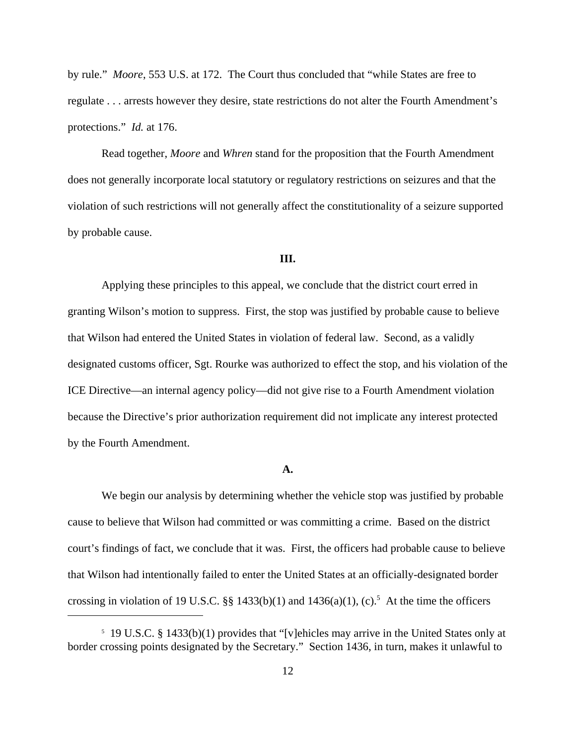by rule." *Moore*, 553 U.S. at 172. The Court thus concluded that "while States are free to regulate . . . arrests however they desire, state restrictions do not alter the Fourth Amendment's protections." *Id.* at 176.

Read together, *Moore* and *Whren* stand for the proposition that the Fourth Amendment does not generally incorporate local statutory or regulatory restrictions on seizures and that the violation of such restrictions will not generally affect the constitutionality of a seizure supported by probable cause.

# **III.**

Applying these principles to this appeal, we conclude that the district court erred in granting Wilson's motion to suppress. First, the stop was justified by probable cause to believe that Wilson had entered the United States in violation of federal law. Second, as a validly designated customs officer, Sgt. Rourke was authorized to effect the stop, and his violation of the ICE Directive—an internal agency policy—did not give rise to a Fourth Amendment violation because the Directive's prior authorization requirement did not implicate any interest protected by the Fourth Amendment.

#### **A.**

We begin our analysis by determining whether the vehicle stop was justified by probable cause to believe that Wilson had committed or was committing a crime. Based on the district court's findings of fact, we conclude that it was. First, the officers had probable cause to believe that Wilson had intentionally failed to enter the United States at an officially-designated border crossing in violation of 19 U.S.C.  $\S$  1433(b)(1) and 1436(a)(1), (c).<sup>5</sup> At the time the officers

<sup>5</sup> 19 U.S.C. § 1433(b)(1) provides that "[v]ehicles may arrive in the United States only at border crossing points designated by the Secretary." Section 1436, in turn, makes it unlawful to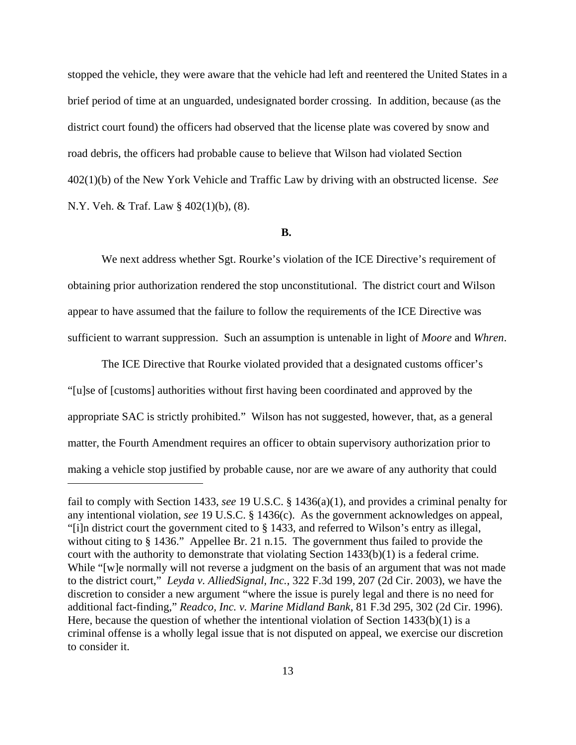stopped the vehicle, they were aware that the vehicle had left and reentered the United States in a brief period of time at an unguarded, undesignated border crossing. In addition, because (as the district court found) the officers had observed that the license plate was covered by snow and road debris, the officers had probable cause to believe that Wilson had violated Section 402(1)(b) of the New York Vehicle and Traffic Law by driving with an obstructed license. *See* N.Y. Veh. & Traf. Law § 402(1)(b), (8).

## **B.**

We next address whether Sgt. Rourke's violation of the ICE Directive's requirement of obtaining prior authorization rendered the stop unconstitutional. The district court and Wilson appear to have assumed that the failure to follow the requirements of the ICE Directive was sufficient to warrant suppression. Such an assumption is untenable in light of *Moore* and *Whren*.

The ICE Directive that Rourke violated provided that a designated customs officer's "[u]se of [customs] authorities without first having been coordinated and approved by the appropriate SAC is strictly prohibited." Wilson has not suggested, however, that, as a general matter, the Fourth Amendment requires an officer to obtain supervisory authorization prior to making a vehicle stop justified by probable cause, nor are we aware of any authority that could

fail to comply with Section 1433, *see* 19 U.S.C. § 1436(a)(1), and provides a criminal penalty for any intentional violation, *see* 19 U.S.C. § 1436(c). As the government acknowledges on appeal, "[i]n district court the government cited to § 1433, and referred to Wilson's entry as illegal, without citing to § 1436." Appellee Br. 21 n.15. The government thus failed to provide the court with the authority to demonstrate that violating Section 1433(b)(1) is a federal crime. While "[w]e normally will not reverse a judgment on the basis of an argument that was not made to the district court," *Leyda v. AlliedSignal, Inc.*, 322 F.3d 199, 207 (2d Cir. 2003), we have the discretion to consider a new argument "where the issue is purely legal and there is no need for additional fact-finding," *Readco, Inc. v. Marine Midland Bank*, 81 F.3d 295, 302 (2d Cir. 1996). Here, because the question of whether the intentional violation of Section 1433(b)(1) is a criminal offense is a wholly legal issue that is not disputed on appeal, we exercise our discretion to consider it.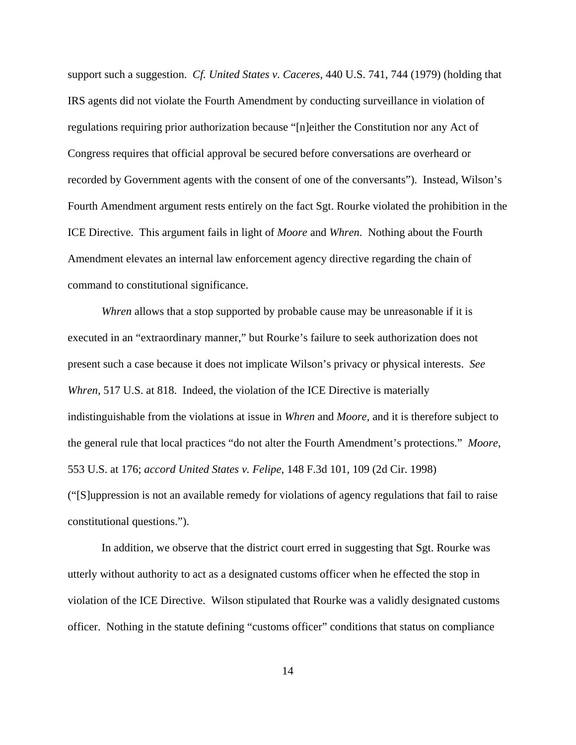support such a suggestion. *Cf. United States v. Caceres*, 440 U.S. 741, 744 (1979) (holding that IRS agents did not violate the Fourth Amendment by conducting surveillance in violation of regulations requiring prior authorization because "[n]either the Constitution nor any Act of Congress requires that official approval be secured before conversations are overheard or recorded by Government agents with the consent of one of the conversants"). Instead, Wilson's Fourth Amendment argument rests entirely on the fact Sgt. Rourke violated the prohibition in the ICE Directive. This argument fails in light of *Moore* and *Whren*. Nothing about the Fourth Amendment elevates an internal law enforcement agency directive regarding the chain of command to constitutional significance.

*Whren* allows that a stop supported by probable cause may be unreasonable if it is executed in an "extraordinary manner," but Rourke's failure to seek authorization does not present such a case because it does not implicate Wilson's privacy or physical interests. *See Whren*, 517 U.S. at 818. Indeed, the violation of the ICE Directive is materially indistinguishable from the violations at issue in *Whren* and *Moore*, and it is therefore subject to the general rule that local practices "do not alter the Fourth Amendment's protections." *Moore*, 553 U.S. at 176; *accord United States v. Felipe*, 148 F.3d 101, 109 (2d Cir. 1998) ("[S]uppression is not an available remedy for violations of agency regulations that fail to raise constitutional questions.").

In addition, we observe that the district court erred in suggesting that Sgt. Rourke was utterly without authority to act as a designated customs officer when he effected the stop in violation of the ICE Directive. Wilson stipulated that Rourke was a validly designated customs officer. Nothing in the statute defining "customs officer" conditions that status on compliance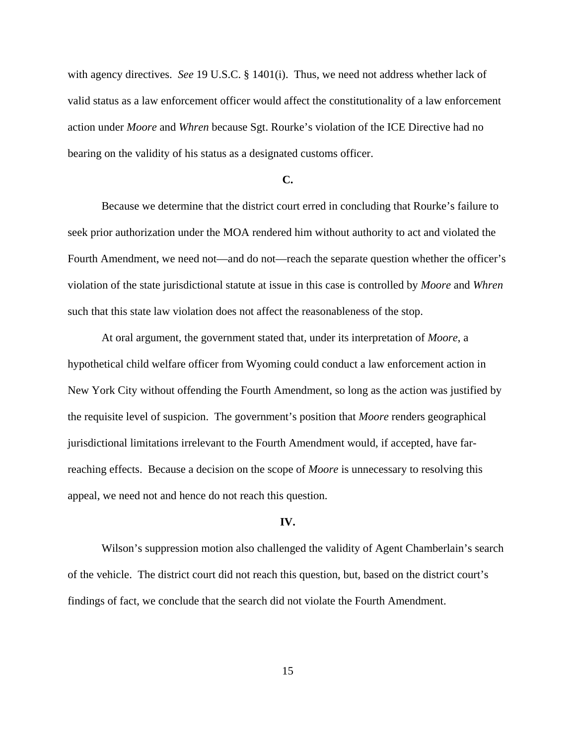with agency directives. *See* 19 U.S.C. § 1401(i). Thus, we need not address whether lack of valid status as a law enforcement officer would affect the constitutionality of a law enforcement action under *Moore* and *Whren* because Sgt. Rourke's violation of the ICE Directive had no bearing on the validity of his status as a designated customs officer.

### **C.**

Because we determine that the district court erred in concluding that Rourke's failure to seek prior authorization under the MOA rendered him without authority to act and violated the Fourth Amendment, we need not—and do not—reach the separate question whether the officer's violation of the state jurisdictional statute at issue in this case is controlled by *Moore* and *Whren* such that this state law violation does not affect the reasonableness of the stop.

At oral argument, the government stated that, under its interpretation of *Moore*, a hypothetical child welfare officer from Wyoming could conduct a law enforcement action in New York City without offending the Fourth Amendment, so long as the action was justified by the requisite level of suspicion. The government's position that *Moore* renders geographical jurisdictional limitations irrelevant to the Fourth Amendment would, if accepted, have farreaching effects. Because a decision on the scope of *Moore* is unnecessary to resolving this appeal, we need not and hence do not reach this question.

#### **IV.**

Wilson's suppression motion also challenged the validity of Agent Chamberlain's search of the vehicle.The district court did not reach this question, but, based on the district court's findings of fact, we conclude that the search did not violate the Fourth Amendment.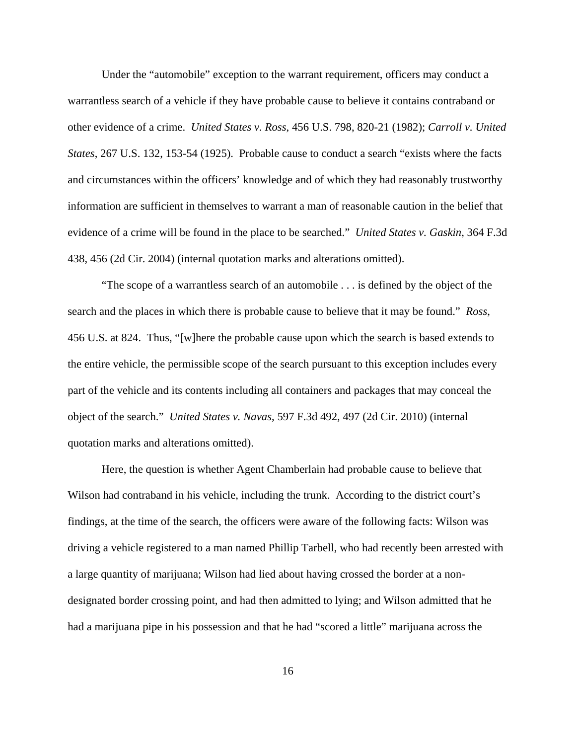Under the "automobile" exception to the warrant requirement, officers may conduct a warrantless search of a vehicle if they have probable cause to believe it contains contraband or other evidence of a crime. *United States v. Ross*, 456 U.S. 798, 820-21 (1982); *Carroll v. United States*, 267 U.S. 132, 153-54 (1925). Probable cause to conduct a search "exists where the facts and circumstances within the officers' knowledge and of which they had reasonably trustworthy information are sufficient in themselves to warrant a man of reasonable caution in the belief that evidence of a crime will be found in the place to be searched." *United States v. Gaskin*, 364 F.3d 438, 456 (2d Cir. 2004) (internal quotation marks and alterations omitted).

"The scope of a warrantless search of an automobile . . . is defined by the object of the search and the places in which there is probable cause to believe that it may be found." *Ross*, 456 U.S. at 824. Thus, "[w]here the probable cause upon which the search is based extends to the entire vehicle, the permissible scope of the search pursuant to this exception includes every part of the vehicle and its contents including all containers and packages that may conceal the object of the search." *United States v. Navas*, 597 F.3d 492, 497 (2d Cir. 2010) (internal quotation marks and alterations omitted).

Here, the question is whether Agent Chamberlain had probable cause to believe that Wilson had contraband in his vehicle, including the trunk. According to the district court's findings, at the time of the search, the officers were aware of the following facts: Wilson was driving a vehicle registered to a man named Phillip Tarbell, who had recently been arrested with a large quantity of marijuana; Wilson had lied about having crossed the border at a nondesignated border crossing point, and had then admitted to lying; and Wilson admitted that he had a marijuana pipe in his possession and that he had "scored a little" marijuana across the